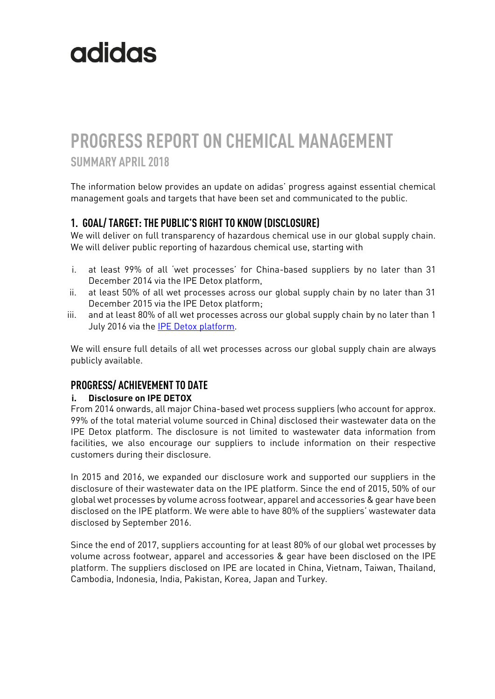# **PROGRESS REPORT ON CHEMICAL MANAGEMENT SUMMARY APRIL 2018**

The information below provides an update on adidas' progress against essential chemical management goals and targets that have been set and communicated to the public.

## **1. GOAL/ TARGET: THE PUBLIC'S RIGHT TO KNOW (DISCLOSURE)**

We will deliver on full transparency of hazardous chemical use in our global supply chain. We will deliver public reporting of hazardous chemical use, starting with

- i. at least 99% of all 'wet processes' for China-based suppliers by no later than 31 December 2014 via the IPE Detox platform,
- ii. at least 50% of all wet processes across our global supply chain by no later than 31 December 2015 via the IPE Detox platform;
- iii. and at least 80% of all wet processes across our global supply chain by no later than 1 July 2016 via th[e IPE Detox platform.](http://wwwen.ipe.org.cn/GreenSupplyChain/Main.aspx)

We will ensure full details of all wet processes across our global supply chain are always publicly available.

### **PROGRESS/ ACHIEVEMENT TO DATE**

#### **i. Disclosure on IPE DETOX**

From 2014 onwards, all major China-based wet process suppliers (who account for approx. 99% of the total material volume sourced in China) disclosed their wastewater data on the IPE Detox platform. The disclosure is not limited to wastewater data information from facilities, we also encourage our suppliers to include information on their respective customers during their disclosure.

In 2015 and 2016, we expanded our disclosure work and supported our suppliers in the disclosure of their wastewater data on the IPE platform. Since the end of 2015, 50% of our global wet processes by volume across footwear, apparel and accessories & gear have been disclosed on the IPE platform. We were able to have 80% of the suppliers' wastewater data disclosed by September 2016.

Since the end of 2017, suppliers accounting for at least 80% of our global wet processes by volume across footwear, apparel and accessories & gear have been disclosed on the IPE platform. The suppliers disclosed on IPE are located in China, Vietnam, Taiwan, Thailand, Cambodia, Indonesia, India, Pakistan, Korea, Japan and Turkey.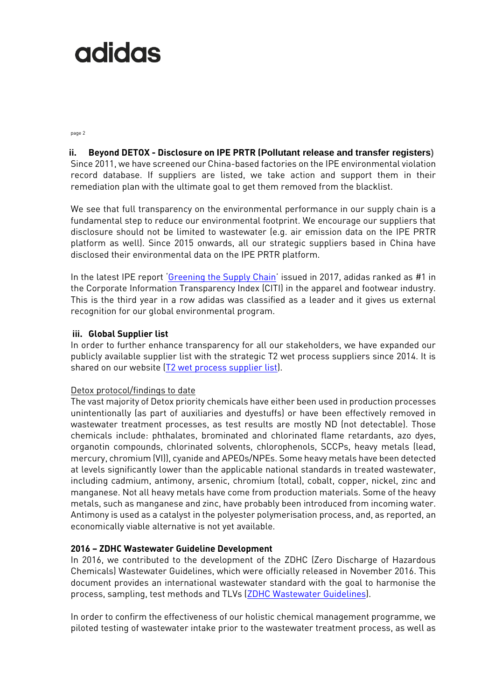page 2

#### **ii. Beyond DETOX - Disclosure on IPE PRTR (Pollutant release and transfer registers)**

Since 2011, we have screened our China-based factories on the IPE environmental violation record database. If suppliers are listed, we take action and support them in their remediation plan with the ultimate goal to get them removed from the blacklist.

We see that full transparency on the environmental performance in our supply chain is a fundamental step to reduce our environmental footprint. We encourage our suppliers that disclosure should not be limited to wastewater (e.g. air emission data on the IPE PRTR platform as well). Since 2015 onwards, all our strategic suppliers based in China have disclosed their environmental data on the IPE PRTR platform.

In the latest IPE report '[Greening the Supply Chain](http://wwwoa.ipe.org.cn/Upload/201610280455082261.pdf)' issued in 2017, adidas ranked as #1 in the Corporate Information Transparency Index (CITI) in the apparel and footwear industry. This is the third year in a row adidas was classified as a leader and it gives us external recognition for our global environmental program.

#### **iii. Global Supplier list**

In order to further enhance transparency for all our stakeholders, we have expanded our publicly available supplier list with the strategic T2 wet process suppliers since 2014. It is shared on our website [\(T2 wet process supplier list\)](http://www.adidas-group.com/media/filer_public/e1/be/e1bea106-29a3-41bd-8546-7d23108bc578/t2_suppliers_may_2016.pdf).

#### Detox protocol/findings to date

The vast majority of Detox priority chemicals have either been used in production processes unintentionally (as part of auxiliaries and dyestuffs) or have been effectively removed in wastewater treatment processes, as test results are mostly ND (not detectable). Those chemicals include: phthalates, brominated and chlorinated flame retardants, azo dyes, organotin compounds, chlorinated solvents, chlorophenols, SCCPs, heavy metals (lead, mercury, chromium (VI)), cyanide and APEOs/NPEs. Some heavy metals have been detected at levels significantly lower than the applicable national standards in treated wastewater, including cadmium, antimony, arsenic, chromium (total), cobalt, copper, nickel, zinc and manganese. Not all heavy metals have come from production materials. Some of the heavy metals, such as manganese and zinc, have probably been introduced from incoming water. Antimony is used as a catalyst in the polyester polymerisation process, and, as reported, an economically viable alternative is not yet available.

#### **2016 – ZDHC Wastewater Guideline Development**

In 2016, we contributed to the development of the ZDHC (Zero Discharge of Hazardous Chemicals) Wastewater Guidelines, which were officially released in November 2016. This document provides an international wastewater standard with the goal to harmonise the process, sampling, test methods and TLVs (**ZDHC Wastewater Guidelines**).

In order to confirm the effectiveness of our holistic chemical management programme, we piloted testing of wastewater intake prior to the wastewater treatment process, as well as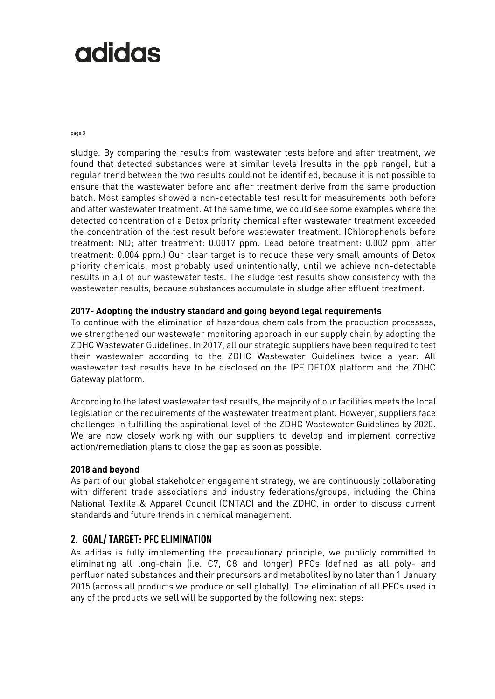page 3

sludge. By comparing the results from wastewater tests before and after treatment, we found that detected substances were at similar levels (results in the ppb range), but a regular trend between the two results could not be identified, because it is not possible to ensure that the wastewater before and after treatment derive from the same production batch. Most samples showed a non-detectable test result for measurements both before and after wastewater treatment. At the same time, we could see some examples where the detected concentration of a Detox priority chemical after wastewater treatment exceeded the concentration of the test result before wastewater treatment. (Chlorophenols before treatment: ND; after treatment: 0.0017 ppm. Lead before treatment: 0.002 ppm; after treatment: 0.004 ppm.) Our clear target is to reduce these very small amounts of Detox priority chemicals, most probably used unintentionally, until we achieve non-detectable results in all of our wastewater tests. The sludge test results show consistency with the wastewater results, because substances accumulate in sludge after effluent treatment.

#### **2017- Adopting the industry standard and going beyond legal requirements**

To continue with the elimination of hazardous chemicals from the production processes, we strengthened our wastewater monitoring approach in our supply chain by adopting the ZDHC Wastewater Guidelines. In 2017, all our strategic suppliers have been required to test their wastewater according to the ZDHC Wastewater Guidelines twice a year. All wastewater test results have to be disclosed on the IPE DETOX platform and the ZDHC Gateway platform.

According to the latest wastewater test results, the majority of our facilities meets the local legislation or the requirements of the wastewater treatment plant. However, suppliers face challenges in fulfilling the aspirational level of the ZDHC Wastewater Guidelines by 2020. We are now closely working with our suppliers to develop and implement corrective action/remediation plans to close the gap as soon as possible.

#### **2018 and beyond**

As part of our global stakeholder engagement strategy, we are continuously collaborating with different trade associations and industry federations/groups, including the China National Textile & Apparel Council (CNTAC) and the ZDHC, in order to discuss current standards and future trends in chemical management.

### **2. GOAL/ TARGET: PFC ELIMINATION**

As adidas is fully implementing the precautionary principle, we publicly committed to eliminating all long-chain (i.e. C7, C8 and longer) PFCs (defined as all poly- and perfluorinated substances and their precursors and metabolites) by no later than 1 January 2015 (across all products we produce or sell globally). The elimination of all PFCs used in any of the products we sell will be supported by the following next steps: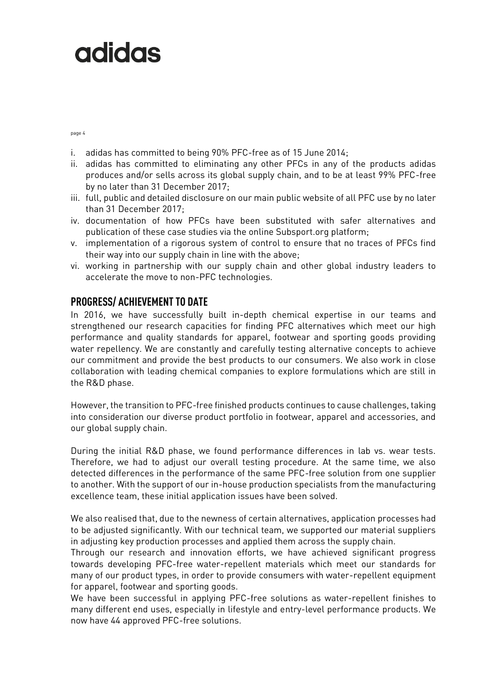page 4

- i. adidas has committed to being 90% PFC-free as of 15 June 2014;
- ii. adidas has committed to eliminating any other PFCs in any of the products adidas produces and/or sells across its global supply chain, and to be at least 99% PFC-free by no later than 31 December 2017;
- iii. full, public and detailed disclosure on our main public website of all PFC use by no later than 31 December 2017;
- iv. documentation of how PFCs have been substituted with safer alternatives and publication of these case studies via the online Subsport.org platform;
- v. implementation of a rigorous system of control to ensure that no traces of PFCs find their way into our supply chain in line with the above;
- vi. working in partnership with our supply chain and other global industry leaders to accelerate the move to non-PFC technologies.

### **PROGRESS/ ACHIEVEMENT TO DATE**

In 2016, we have successfully built in-depth chemical expertise in our teams and strengthened our research capacities for finding PFC alternatives which meet our high performance and quality standards for apparel, footwear and sporting goods providing water repellency. We are constantly and carefully testing alternative concepts to achieve our commitment and provide the best products to our consumers. We also work in close collaboration with leading chemical companies to explore formulations which are still in the R&D phase.

However, the transition to PFC-free finished products continues to cause challenges, taking into consideration our diverse product portfolio in footwear, apparel and accessories, and our global supply chain.

During the initial R&D phase, we found performance differences in lab vs. wear tests. Therefore, we had to adjust our overall testing procedure. At the same time, we also detected differences in the performance of the same PFC-free solution from one supplier to another. With the support of our in-house production specialists from the manufacturing excellence team, these initial application issues have been solved.

We also realised that, due to the newness of certain alternatives, application processes had to be adjusted significantly. With our technical team, we supported our material suppliers in adjusting key production processes and applied them across the supply chain.

Through our research and innovation efforts, we have achieved significant progress towards developing PFC-free water-repellent materials which meet our standards for many of our product types, in order to provide consumers with water-repellent equipment for apparel, footwear and sporting goods.

We have been successful in applying PFC-free solutions as water-repellent finishes to many different end uses, especially in lifestyle and entry-level performance products. We now have 44 approved PFC-free solutions.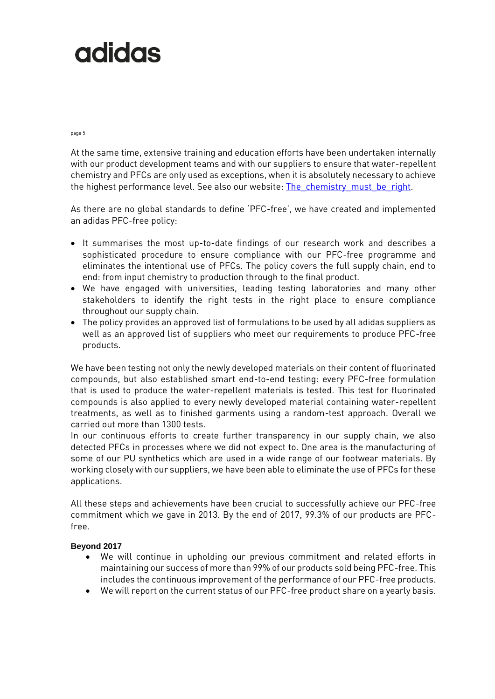page 5

At the same time, extensive training and education efforts have been undertaken internally with our product development teams and with our suppliers to ensure that water-repellent chemistry and PFCs are only used as exceptions, when it is absolutely necessary to achieve the highest performance level. See also our website: The chemistry must be right.

As there are no global standards to define 'PFC-free', we have created and implemented an adidas PFC-free policy:

- It summarises the most up-to-date findings of our research work and describes a sophisticated procedure to ensure compliance with our PFC-free programme and eliminates the intentional use of PFCs. The policy covers the full supply chain, end to end: from input chemistry to production through to the final product.
- We have engaged with universities, leading testing laboratories and many other stakeholders to identify the right tests in the right place to ensure compliance throughout our supply chain.
- The policy provides an approved list of formulations to be used by all adidas suppliers as well as an approved list of suppliers who meet our requirements to produce PFC-free products.

We have been testing not only the newly developed materials on their content of fluorinated compounds, but also established smart end-to-end testing: every PFC-free formulation that is used to produce the water-repellent materials is tested. This test for fluorinated compounds is also applied to every newly developed material containing water-repellent treatments, as well as to finished garments using a random-test approach. Overall we carried out more than 1300 tests.

In our continuous efforts to create further transparency in our supply chain, we also detected PFCs in processes where we did not expect to. One area is the manufacturing of some of our PU synthetics which are used in a wide range of our footwear materials. By working closely with our suppliers, we have been able to eliminate the use of PFCs for these applications.

All these steps and achievements have been crucial to successfully achieve our PFC-free commitment which we gave in 2013. By the end of 2017, 99.3% of our products are PFCfree.

#### **Beyond 2017**

- We will continue in upholding our previous commitment and related efforts in maintaining our success of more than 99% of our products sold being PFC-free. This includes the continuous improvement of the performance of our PFC-free products.
- We will report on the current status of our PFC-free product share on a yearly basis.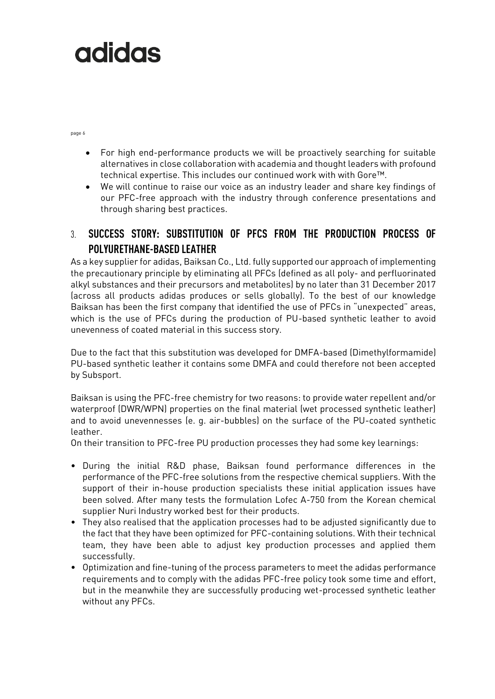page 6

- For high end-performance products we will be proactively searching for suitable alternatives in close collaboration with academia and thought leaders with profound technical expertise. This includes our continued work with with Gore™.
- We will continue to raise our voice as an industry leader and share key findings of our PFC-free approach with the industry through conference presentations and through sharing best practices.

# 3. **SUCCESS STORY: SUBSTITUTION OF PFCS FROM THE PRODUCTION PROCESS OF POLYURETHANE-BASED LEATHER**

As a key supplier for adidas, Baiksan Co., Ltd. fully supported our approach of implementing the precautionary principle by eliminating all PFCs (defined as all poly- and perfluorinated alkyl substances and their precursors and metabolites) by no later than 31 December 2017 (across all products adidas produces or sells globally). To the best of our knowledge Baiksan has been the first company that identified the use of PFCs in "unexpected" areas, which is the use of PFCs during the production of PU-based synthetic leather to avoid unevenness of coated material in this success story.

Due to the fact that this substitution was developed for DMFA-based (Dimethylformamide) PU-based synthetic leather it contains some DMFA and could therefore not been accepted by Subsport.

Baiksan is using the PFC-free chemistry for two reasons: to provide water repellent and/or waterproof (DWR/WPN) properties on the final material (wet processed synthetic leather) and to avoid unevennesses (e. g. air-bubbles) on the surface of the PU-coated synthetic leather.

On their transition to PFC-free PU production processes they had some key learnings:

- During the initial R&D phase, Baiksan found performance differences in the performance of the PFC-free solutions from the respective chemical suppliers. With the support of their in-house production specialists these initial application issues have been solved. After many tests the formulation Lofec A-750 from the Korean chemical supplier Nuri Industry worked best for their products.
- They also realised that the application processes had to be adjusted significantly due to the fact that they have been optimized for PFC-containing solutions. With their technical team, they have been able to adjust key production processes and applied them successfully.
- Optimization and fine-tuning of the process parameters to meet the adidas performance requirements and to comply with the adidas PFC-free policy took some time and effort, but in the meanwhile they are successfully producing wet-processed synthetic leather without any PFCs.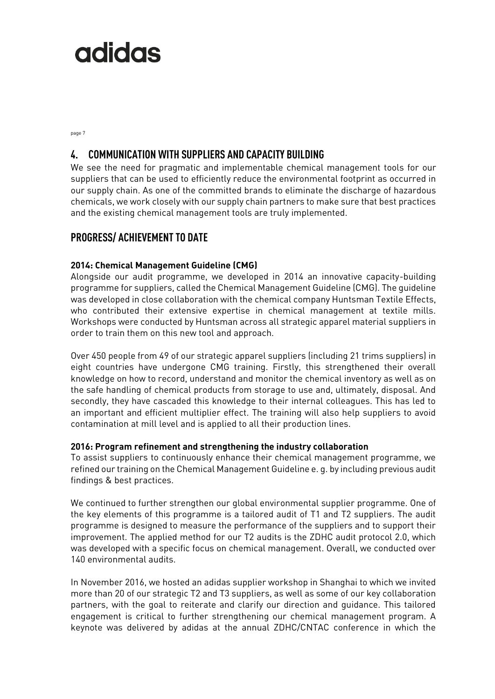page 7

### **4. COMMUNICATION WITH SUPPLIERS AND CAPACITY BUILDING**

We see the need for pragmatic and implementable chemical management tools for our suppliers that can be used to efficiently reduce the environmental footprint as occurred in our supply chain. As one of the committed brands to eliminate the discharge of hazardous chemicals, we work closely with our supply chain partners to make sure that best practices and the existing chemical management tools are truly implemented.

### **PROGRESS/ ACHIEVEMENT TO DATE**

### **2014: Chemical Management Guideline (CMG)**

Alongside our audit programme, we developed in 2014 an innovative capacity-building programme for suppliers, called the Chemical Management Guideline (CMG). The guideline was developed in close collaboration with the chemical company Huntsman Textile Effects, who contributed their extensive expertise in chemical management at textile mills. Workshops were conducted by Huntsman across all strategic apparel material suppliers in order to train them on this new tool and approach.

Over 450 people from 49 of our strategic apparel suppliers (including 21 trims suppliers) in eight countries have undergone CMG training. Firstly, this strengthened their overall knowledge on how to record, understand and monitor the chemical inventory as well as on the safe handling of chemical products from storage to use and, ultimately, disposal. And secondly, they have cascaded this knowledge to their internal colleagues. This has led to an important and efficient multiplier effect. The training will also help suppliers to avoid contamination at mill level and is applied to all their production lines.

#### **2016: Program refinement and strengthening the industry collaboration**

To assist suppliers to continuously enhance their chemical management programme, we refined our training on the Chemical Management Guideline e. g. by including previous audit findings & best practices.

We continued to further strengthen our global environmental supplier programme. One of the key elements of this programme is a tailored audit of T1 and T2 suppliers. The audit programme is designed to measure the performance of the suppliers and to support their improvement. The applied method for our T2 audits is the ZDHC audit protocol 2.0, which was developed with a specific focus on chemical management. Overall, we conducted over 140 environmental audits.

In November 2016, we hosted an adidas supplier workshop in Shanghai to which we invited more than 20 of our strategic T2 and T3 suppliers, as well as some of our key collaboration partners, with the goal to reiterate and clarify our direction and guidance. This tailored engagement is critical to further strengthening our chemical management program. A keynote was delivered by adidas at the annual ZDHC/CNTAC conference in which the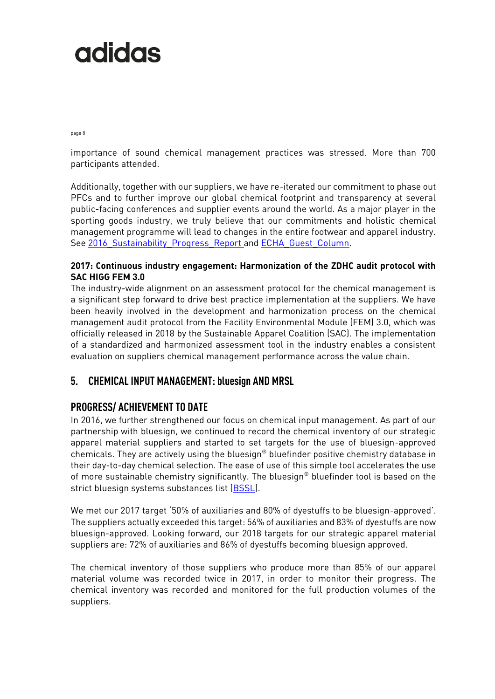page 8

importance of sound chemical management practices was stressed. More than 700 participants attended.

Additionally, together with our suppliers, we have re-iterated our commitment to phase out PFCs and to further improve our global chemical footprint and transparency at several public-facing conferences and supplier events around the world. As a major player in the sporting goods industry, we truly believe that our commitments and holistic chemical management programme will lead to changes in the entire footwear and apparel industry. See 2016 Sustainability Progress Report and ECHA Guest Column.

### **2017: Continuous industry engagement: Harmonization of the ZDHC audit protocol with SAC HIGG FEM 3.0**

The industry-wide alignment on an assessment protocol for the chemical management is a significant step forward to drive best practice implementation at the suppliers. We have been heavily involved in the development and harmonization process on the chemical management audit protocol from the Facility Environmental Module (FEM) 3.0, which was officially released in 2018 by the Sustainable Apparel Coalition (SAC). The implementation of a standardized and harmonized assessment tool in the industry enables a consistent evaluation on suppliers chemical management performance across the value chain.

## **5. CHEMICAL INPUT MANAGEMENT: bluesign AND MRSL**

## **PROGRESS/ ACHIEVEMENT TO DATE**

In 2016, we further strengthened our focus on chemical input management. As part of our partnership with bluesign, we continued to record the chemical inventory of our strategic apparel material suppliers and started to set targets for the use of bluesign-approved chemicals. They are actively using the bluesign® bluefinder positive chemistry database in their day-to-day chemical selection. The ease of use of this simple tool accelerates the use of more sustainable chemistry significantly. The bluesign® bluefinder tool is based on the strict bluesign systems substances list [\(BSSL\)](http://www.bluesign.com/de/industry/infocenter/downloads).

We met our 2017 target '50% of auxiliaries and 80% of dyestuffs to be bluesign-approved'. The suppliers actually exceeded this target: 56% of auxiliaries and 83% of dyestuffs are now bluesign-approved. Looking forward, our 2018 targets for our strategic apparel material suppliers are: 72% of auxiliaries and 86% of dyestuffs becoming bluesign approved.

The chemical inventory of those suppliers who produce more than 85% of our apparel material volume was recorded twice in 2017, in order to monitor their progress. The chemical inventory was recorded and monitored for the full production volumes of the suppliers.